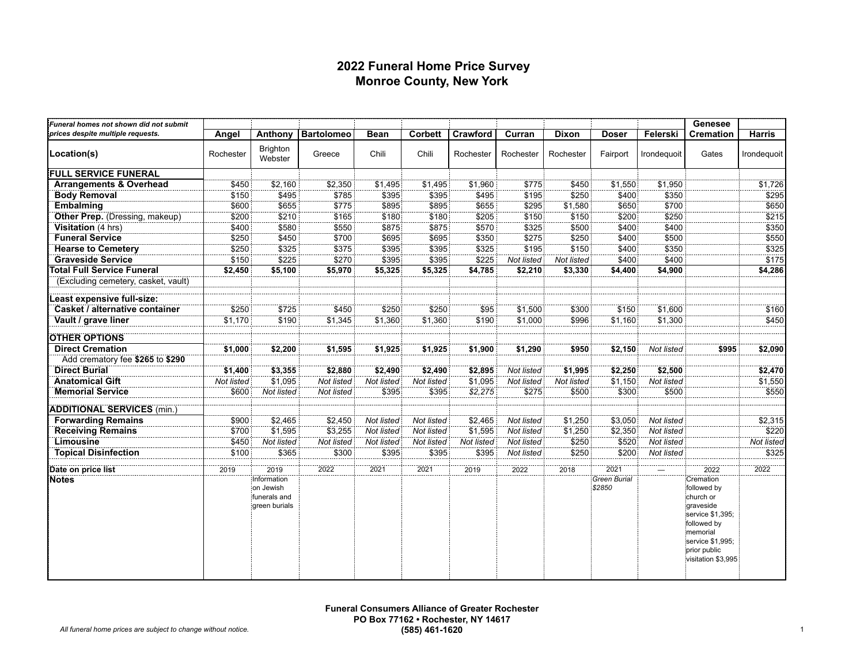#### **2022 Funeral Home Price Survey Monroe County, New York**

| Funeral homes not shown did not submit |            |                            |                   |             |                |            |            |              |              |             | Genesee                       |               |
|----------------------------------------|------------|----------------------------|-------------------|-------------|----------------|------------|------------|--------------|--------------|-------------|-------------------------------|---------------|
| prices despite multiple requests.      | Angel      | Anthony                    | <b>Bartolomeo</b> | <b>Bean</b> | <b>Corbett</b> | Crawford   | Curran     | <b>Dixon</b> | <b>Doser</b> | Felerski    | <b>Cremation</b>              | <b>Harris</b> |
| Location(s)                            | Rochester  | <b>Brighton</b><br>Webster | Greece            | Chili       | Chili          | Rochester  | Rochester  | Rochester    | Fairport     | Irondeguoit | Gates                         | Irondequoit   |
| <b>FULL SERVICE FUNERAL</b>            |            |                            |                   |             |                |            |            |              |              |             |                               |               |
| <b>Arrangements &amp; Overhead</b>     | \$450      | \$2,160                    | \$2,350           | \$1,495     | \$1,495        | \$1,960    | \$775      | \$450        | \$1,550      | \$1,950     |                               | \$1,726       |
| <b>Body Removal</b>                    | \$150      | \$495                      | \$785             | \$395       | \$395          | \$495      | \$195      | \$250        | \$400        | \$350       |                               | \$295         |
| <b>Embalming</b>                       | \$600      | \$655                      | \$775             | \$895       | \$895          | \$655      | \$295      | \$1,580      | \$650        | \$700       |                               | \$650         |
| Other Prep. (Dressing, makeup)         | \$200      | \$210                      | \$165             | \$180       | \$180          | \$205      | \$150      | \$150        | \$200        | \$250       |                               | \$215         |
| Visitation (4 hrs)                     | \$400      | \$580                      | \$550             | \$875       | \$875          | \$570      | \$325      | \$500        | \$400        | \$400       |                               | \$350         |
| <b>Funeral Service</b>                 | \$250      | \$450                      | \$700             | \$695       | \$695          | \$350      | \$275      | \$250        | \$400        | \$500       |                               | \$550         |
| <b>Hearse to Cemetery</b>              | \$250      | \$325                      | \$375             | \$395       | \$395          | \$325      | \$195      | \$150        | \$400        | \$350       |                               | \$325         |
| <b>Graveside Service</b>               | \$150      | \$225                      | \$270             | \$395       | \$395          | \$225      | Not listed | Not listed   | \$400        | \$400       |                               | \$175         |
| <b>Total Full Service Funeral</b>      | \$2,450    | \$5,100                    | \$5,970           | \$5,325     | \$5,325        | \$4,785    | \$2,210    | \$3,330      | \$4,400      | \$4,900     |                               | \$4,286       |
| (Excluding cemetery, casket, vault)    |            |                            |                   |             |                |            |            |              |              |             |                               |               |
| east expensive full-size:              |            |                            |                   |             |                |            |            |              |              |             |                               |               |
| Casket / alternative container         | \$250      | \$725                      | \$450             | \$250       | \$250          | \$95       | \$1,500    | \$300        | \$150        | \$1,600     |                               | \$160         |
| Vault / grave liner                    | \$1,170    | \$190                      | \$1,345           | \$1,360     | \$1,360        | \$190      | \$1,000    | \$996        | \$1,160      | \$1,300     |                               | \$450         |
| <b>OTHER OPTIONS</b>                   |            |                            |                   |             |                |            |            |              |              |             |                               |               |
| <b>Direct Cremation</b>                | \$1,000    | \$2,200                    | \$1,595           | \$1,925     | \$1,925        | \$1,900    | \$1,290    | \$950        | \$2,150      | Not listed  | \$995                         | \$2,090       |
| Add crematory fee \$265 to \$290       |            |                            |                   |             |                |            |            |              |              |             |                               |               |
| <b>Direct Burial</b>                   | \$1,400    | \$3,355                    | \$2,880           | \$2,490     | \$2,490        | \$2,895    | Not listed | \$1,995      | \$2,250      | \$2,500     |                               | \$2,470       |
| <b>Anatomical Gift</b>                 | Not listed | \$1,095                    | Not listed        | Not listed  | Not listed     | \$1,095    | Not listed | Not listed   | \$1,150      | Not listed  |                               | \$1,550       |
| <b>Memorial Service</b>                | \$600      | Not listed                 | Not listed        | \$395       | \$395          | \$2,275    | \$275      | \$500        | \$300        | \$500       |                               | \$550         |
| <b>ADDITIONAL SERVICES (min.)</b>      |            |                            |                   |             |                |            |            |              |              |             |                               |               |
| <b>Forwarding Remains</b>              | \$900      | \$2,465                    | \$2,450           | Not listed  | Not listed     | \$2,465    | Not listed | \$1,250      | \$3,050      | Not listed  |                               | \$2,315       |
| <b>Receiving Remains</b>               | \$700      | \$1,595                    | \$3,255           | Not listed  | Not listed     | \$1,595    | Not listed | \$1,250      | \$2,350      | Not listed  |                               | \$220         |
| Limousine                              | \$450      | Not listed                 | Not listed        | Not listed  | Not listed     | Not listed | Not listed | \$250        | \$520        | Not listed  |                               | Not listed    |
| <b>Topical Disinfection</b>            | \$100      | \$365                      | \$300             | \$395       | \$395          | \$395      | Not listed | \$250        | \$200        | Not listed  |                               | \$325         |
| Date on price list                     | 2019       | 2019                       | 2022              | 2021        | 2021           | 2019       | 2022       | 2018         | 2021         |             | 2022                          | 2022          |
| <b>Notes</b>                           |            | Information                |                   |             |                |            |            |              | Green Burial |             | Cremation                     |               |
|                                        |            | on Jewish                  |                   |             |                |            |            |              | \$2850       |             | followed by                   |               |
|                                        |            | funerals and               |                   |             |                |            |            |              |              |             | church or                     |               |
|                                        |            | green burials              |                   |             |                |            |            |              |              |             | graveside<br>service \$1,395; |               |
|                                        |            |                            |                   |             |                |            |            |              |              |             | followed by                   |               |
|                                        |            |                            |                   |             |                |            |            |              |              |             | memorial                      |               |
|                                        |            |                            |                   |             |                |            |            |              |              |             | service \$1,995;              |               |
|                                        |            |                            |                   |             |                |            |            |              |              |             | prior public                  |               |
|                                        |            |                            |                   |             |                |            |            |              |              |             | visitation \$3,995            |               |
|                                        |            |                            |                   |             |                |            |            |              |              |             |                               |               |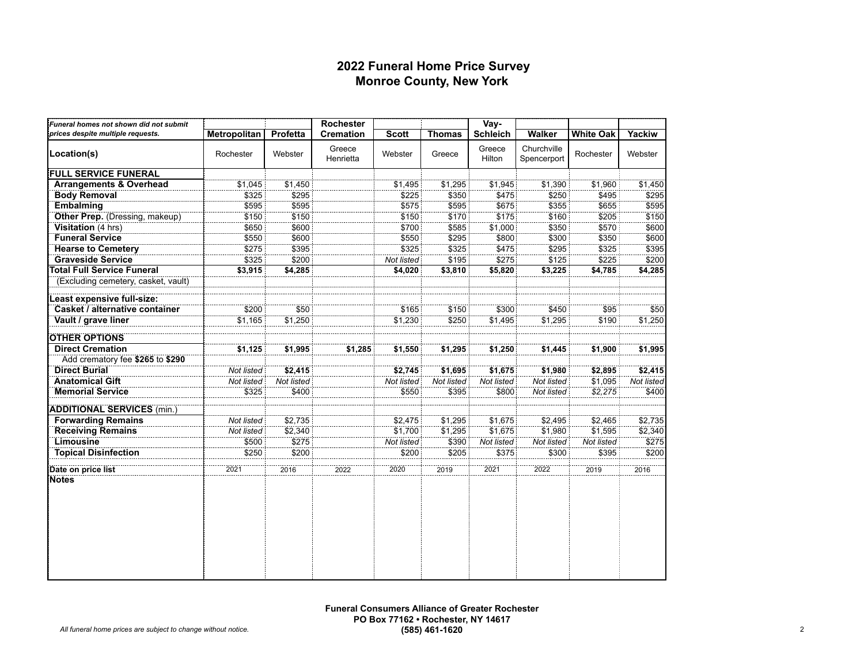#### **2022 Funeral Home Price Survey Monroe County, New York**

| Funeral homes not shown did not submit |                     |            | Rochester           |              |               | Vay-             |                            |                  |            |
|----------------------------------------|---------------------|------------|---------------------|--------------|---------------|------------------|----------------------------|------------------|------------|
| prices despite multiple requests.      | <b>Metropolitan</b> | Profetta   | <b>Cremation</b>    | <b>Scott</b> | <b>Thomas</b> | <b>Schleich</b>  | <b>Walker</b>              | <b>White Oak</b> | Yackiw     |
| Location(s)                            | Rochester           | Webster    | Greece<br>Henrietta | Webster      | Greece        | Greece<br>Hilton | Churchville<br>Spencerport | Rochester        | Webster    |
| <b>FULL SERVICE FUNERAL</b>            |                     |            |                     |              |               |                  |                            |                  |            |
| <b>Arrangements &amp; Overhead</b>     | \$1,045             | \$1,450    |                     | \$1,495      | \$1,295       | \$1,945          | \$1,390                    | \$1,960          | \$1,450    |
| <b>Body Removal</b>                    | \$325               | \$295      |                     | \$225        | \$350         | \$475            | \$250                      | \$495            | \$295      |
| <b>Embalming</b>                       | \$595               | \$595      |                     | \$575        | \$595         | \$675            | \$355                      | \$655            | \$595      |
| Other Prep. (Dressing, makeup)         | \$150               | \$150      |                     | \$150        | \$170         | \$175            | \$160                      | \$205            | \$150      |
| Visitation (4 hrs)                     | \$650               | \$600      |                     | \$700        | \$585         | \$1,000          | \$350                      | \$570            | \$600      |
| <b>Funeral Service</b>                 | \$550               | \$600      |                     | \$550        | \$295         | \$800            | \$300                      | \$350            | \$600      |
| <b>Hearse to Cemetery</b>              | \$275               | \$395      |                     | \$325        | \$325         | \$475            | \$295                      | \$325            | \$395      |
| <b>Graveside Service</b>               | \$325               | \$200      |                     | Not listed   | \$195         | \$275            | \$125                      | \$225            | \$200      |
| <b>Total Full Service Funeral</b>      | \$3,915             | \$4,285    |                     | \$4,020      | \$3,810       | \$5,820          | \$3,225                    | \$4,785          | \$4,285    |
| (Excluding cemetery, casket, vault)    |                     |            |                     |              |               |                  |                            |                  |            |
| Least expensive full-size:             |                     |            |                     |              |               |                  |                            |                  |            |
| Casket / alternative container         | \$200               | \$50       |                     | \$165        | \$150         | \$300            | \$450                      | \$95             | \$50       |
| Vault / grave liner                    | \$1,165             | \$1,250    |                     | \$1,230      | \$250         | \$1,495          | \$1,295                    | \$190            | \$1,250    |
| <b>OTHER OPTIONS</b>                   |                     |            |                     |              |               |                  |                            |                  |            |
| <b>Direct Cremation</b>                | \$1,125             | \$1,995    | \$1,285             | \$1,550      | \$1,295       | \$1,250          | \$1,445                    | \$1,900          | \$1,995    |
| Add crematory fee \$265 to \$290       |                     |            |                     |              |               |                  |                            |                  |            |
| <b>Direct Burial</b>                   | Not listed          | \$2,415    |                     | \$2,745      | \$1,695       | \$1,675          | \$1,980                    | \$2,895          | \$2,415    |
| <b>Anatomical Gift</b>                 | Not listed          | Not listed |                     | Not listed   | Not listed    | Not listed       | Not listed                 | \$1,095          | Not listed |
| <b>Memorial Service</b>                | \$325               | \$400      |                     | \$550        | \$395         | \$800            | Not listed                 | \$2,275          | \$400      |
| <b>ADDITIONAL SERVICES (min.)</b>      |                     |            |                     |              |               |                  |                            |                  |            |
| <b>Forwarding Remains</b>              | Not listed          | \$2,735    |                     | \$2,475      | \$1,295       | \$1,675          | \$2,495                    | \$2,465          | \$2,735    |
| <b>Receiving Remains</b>               | Not listed          | \$2,340    |                     | \$1,700      | \$1,295       | \$1,675          | \$1,980                    | \$1,595          | \$2,340    |
| Limousine                              | \$500               | \$275      |                     | Not listed   | \$390         | Not listed       | Not listed                 | Not listed       | \$275      |
| <b>Topical Disinfection</b>            | \$250               | \$200      |                     | \$200        | \$205         | \$375            | \$300                      | \$395            | \$200      |
| Date on price list                     | 2021                | 2016       | 2022                | 2020         | 2019          | 2021             | 2022                       | 2019             | 2016       |
| Notes                                  |                     |            |                     |              |               |                  |                            |                  |            |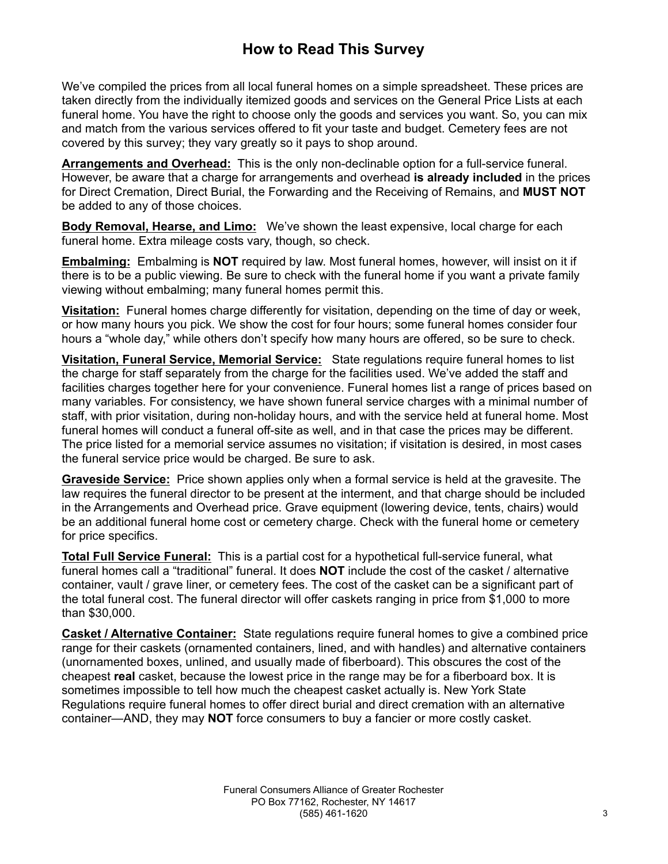# **How to Read This Survey**

We've compiled the prices from all local funeral homes on a simple spreadsheet. These prices are taken directly from the individually itemized goods and services on the General Price Lists at each funeral home. You have the right to choose only the goods and services you want. So, you can mix and match from the various services offered to fit your taste and budget. Cemetery fees are not covered by this survey; they vary greatly so it pays to shop around.

**Arrangements and Overhead:** This is the only non-declinable option for a full-service funeral. However, be aware that a charge for arrangements and overhead **is already included** in the prices for Direct Cremation, Direct Burial, the Forwarding and the Receiving of Remains, and **MUST NOT** be added to any of those choices.

**Body Removal, Hearse, and Limo:** We've shown the least expensive, local charge for each funeral home. Extra mileage costs vary, though, so check.

**Embalming:** Embalming is **NOT** required by law. Most funeral homes, however, will insist on it if there is to be a public viewing. Be sure to check with the funeral home if you want a private family viewing without embalming; many funeral homes permit this.

**Visitation:** Funeral homes charge differently for visitation, depending on the time of day or week, or how many hours you pick. We show the cost for four hours; some funeral homes consider four hours a "whole day," while others don't specify how many hours are offered, so be sure to check.

**Visitation, Funeral Service, Memorial Service:** State regulations require funeral homes to list the charge for staff separately from the charge for the facilities used. We've added the staff and facilities charges together here for your convenience. Funeral homes list a range of prices based on many variables. For consistency, we have shown funeral service charges with a minimal number of staff, with prior visitation, during non-holiday hours, and with the service held at funeral home. Most funeral homes will conduct a funeral off-site as well, and in that case the prices may be different. The price listed for a memorial service assumes no visitation; if visitation is desired, in most cases the funeral service price would be charged. Be sure to ask.

**Graveside Service:** Price shown applies only when a formal service is held at the gravesite. The law requires the funeral director to be present at the interment, and that charge should be included in the Arrangements and Overhead price. Grave equipment (lowering device, tents, chairs) would be an additional funeral home cost or cemetery charge. Check with the funeral home or cemetery for price specifics.

**Total Full Service Funeral:** This is a partial cost for a hypothetical full-service funeral, what funeral homes call a "traditional" funeral. It does **NOT** include the cost of the casket / alternative container, vault / grave liner, or cemetery fees. The cost of the casket can be a significant part of the total funeral cost. The funeral director will offer caskets ranging in price from \$1,000 to more than \$30,000.

**Casket / Alternative Container:** State regulations require funeral homes to give a combined price range for their caskets (ornamented containers, lined, and with handles) and alternative containers (unornamented boxes, unlined, and usually made of fiberboard). This obscures the cost of the cheapest **real** casket, because the lowest price in the range may be for a fiberboard box. It is sometimes impossible to tell how much the cheapest casket actually is. New York State Regulations require funeral homes to offer direct burial and direct cremation with an alternative container—AND, they may **NOT** force consumers to buy a fancier or more costly casket.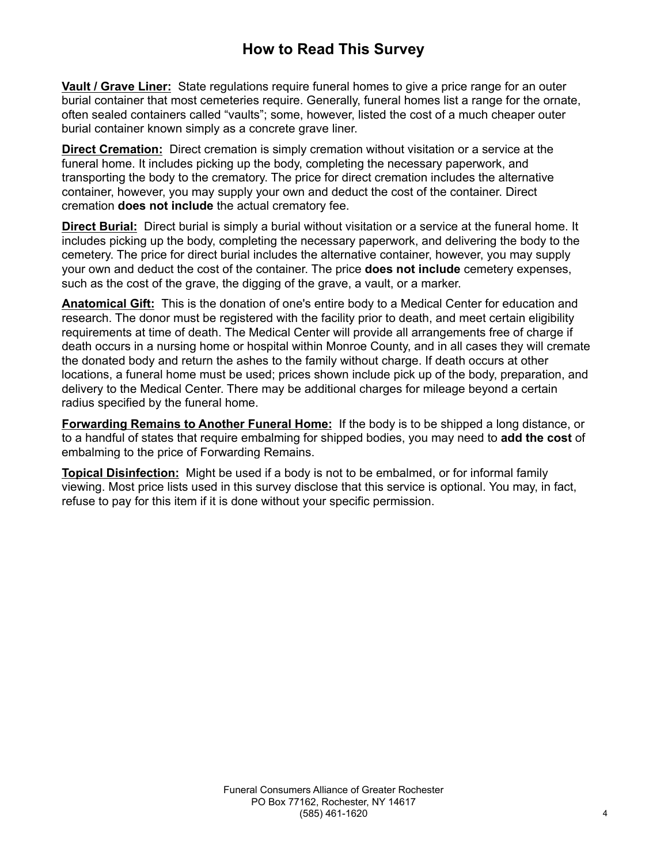# **How to Read This Survey**

**Vault / Grave Liner:** State regulations require funeral homes to give a price range for an outer burial container that most cemeteries require. Generally, funeral homes list a range for the ornate, often sealed containers called "vaults"; some, however, listed the cost of a much cheaper outer burial container known simply as a concrete grave liner.

**Direct Cremation:** Direct cremation is simply cremation without visitation or a service at the funeral home. It includes picking up the body, completing the necessary paperwork, and transporting the body to the crematory. The price for direct cremation includes the alternative container, however, you may supply your own and deduct the cost of the container. Direct cremation **does not include** the actual crematory fee.

**Direct Burial:** Direct burial is simply a burial without visitation or a service at the funeral home. It includes picking up the body, completing the necessary paperwork, and delivering the body to the cemetery. The price for direct burial includes the alternative container, however, you may supply your own and deduct the cost of the container. The price **does not include** cemetery expenses, such as the cost of the grave, the digging of the grave, a vault, or a marker.

**Anatomical Gift:** This is the donation of one's entire body to a Medical Center for education and research. The donor must be registered with the facility prior to death, and meet certain eligibility requirements at time of death. The Medical Center will provide all arrangements free of charge if death occurs in a nursing home or hospital within Monroe County, and in all cases they will cremate the donated body and return the ashes to the family without charge. If death occurs at other locations, a funeral home must be used; prices shown include pick up of the body, preparation, and delivery to the Medical Center. There may be additional charges for mileage beyond a certain radius specified by the funeral home.

**Forwarding Remains to Another Funeral Home:** If the body is to be shipped a long distance, or to a handful of states that require embalming for shipped bodies, you may need to **add the cost** of embalming to the price of Forwarding Remains.

**Topical Disinfection:** Might be used if a body is not to be embalmed, or for informal family viewing. Most price lists used in this survey disclose that this service is optional. You may, in fact, refuse to pay for this item if it is done without your specific permission.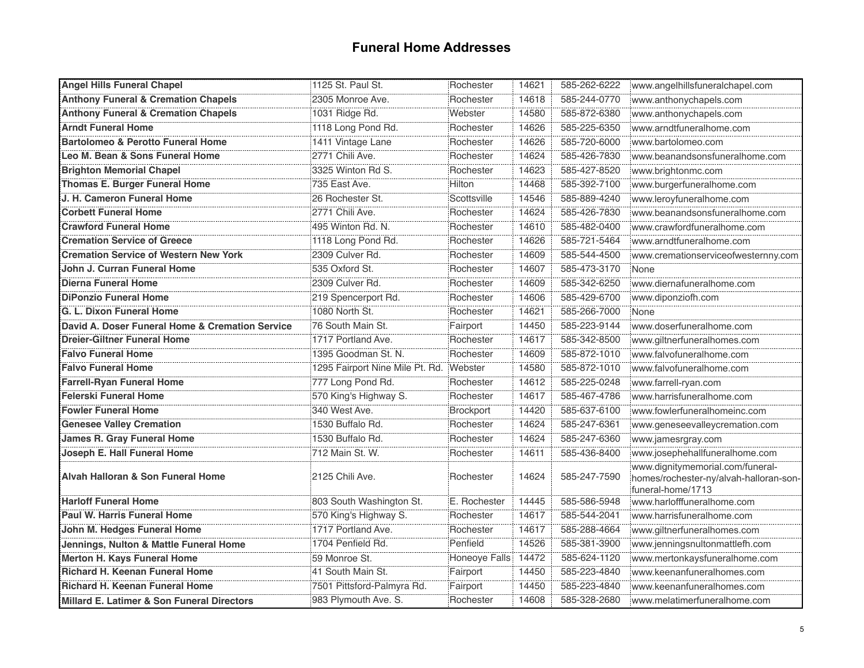### **Funeral Home Addresses**

| <b>Angel Hills Funeral Chapel</b>               | 1125 St. Paul St.                       | Rochester     | 14621 | 585-262-6222 | www.angelhillsfuneralchapel.com                                                                 |
|-------------------------------------------------|-----------------------------------------|---------------|-------|--------------|-------------------------------------------------------------------------------------------------|
| <b>Anthony Funeral &amp; Cremation Chapels</b>  | 2305 Monroe Ave.                        | Rochester     | 14618 | 585-244-0770 | www.anthonychapels.com                                                                          |
| <b>Anthony Funeral &amp; Cremation Chapels</b>  | 1031 Ridge Rd.                          | Webster       | 14580 | 585-872-6380 | www.anthonychapels.com                                                                          |
| <b>Arndt Funeral Home</b>                       | 1118 Long Pond Rd.                      | Rochester     | 14626 | 585-225-6350 | www.arndtfuneralhome.com                                                                        |
| <b>Bartolomeo &amp; Perotto Funeral Home</b>    | 1411 Vintage Lane                       | Rochester     | 14626 | 585-720-6000 | www.bartolomeo.com                                                                              |
| Leo M. Bean & Sons Funeral Home                 | 2771 Chili Ave.                         | Rochester     | 14624 | 585-426-7830 | www.beanandsonsfuneralhome.com                                                                  |
| <b>Brighton Memorial Chapel</b>                 | 3325 Winton Rd S.                       | Rochester     | 14623 | 585-427-8520 | www.brightonmc.com                                                                              |
| <b>Thomas E. Burger Funeral Home</b>            | 735 East Ave.                           | Hilton        | 14468 | 585-392-7100 | www.burgerfuneralhome.com                                                                       |
| J. H. Cameron Funeral Home                      | 26 Rochester St.                        | Scottsville   | 14546 | 585-889-4240 | www.leroyfuneralhome.com                                                                        |
| <b>Corbett Funeral Home</b>                     | 2771 Chili Ave.                         | Rochester     | 14624 | 585-426-7830 | www.beanandsonsfuneralhome.com                                                                  |
| <b>Crawford Funeral Home</b>                    | 495 Winton Rd. N.                       | Rochester     | 14610 | 585-482-0400 | www.crawfordfuneralhome.com                                                                     |
| <b>Cremation Service of Greece</b>              | 1118 Long Pond Rd.                      | Rochester     | 14626 | 585-721-5464 | www.arndtfuneralhome.com                                                                        |
| <b>Cremation Service of Western New York</b>    | 2309 Culver Rd.                         | Rochester     | 14609 | 585-544-4500 | www.cremationserviceofwesternny.com                                                             |
| John J. Curran Funeral Home                     | 535 Oxford St.                          | Rochester     | 14607 | 585-473-3170 | None                                                                                            |
| <b>Dierna Funeral Home</b>                      | 2309 Culver Rd.                         | Rochester     | 14609 | 585-342-6250 | www.diernafuneralhome.com                                                                       |
| <b>DiPonzio Funeral Home</b>                    | 219 Spencerport Rd.                     | Rochester     | 14606 | 585-429-6700 | www.diponziofh.com                                                                              |
| G. L. Dixon Funeral Home                        | 1080 North St.                          | Rochester     | 14621 | 585-266-7000 | None                                                                                            |
| David A. Doser Funeral Home & Cremation Service | 76 South Main St.                       | Fairport      | 14450 | 585-223-9144 | www.doserfuneralhome.com                                                                        |
| <b>Dreier-Giltner Funeral Home</b>              | 1717 Portland Ave.                      | Rochester     | 14617 | 585-342-8500 | www.giltnerfuneralhomes.com                                                                     |
| <b>Falvo Funeral Home</b>                       | 1395 Goodman St. N.                     | Rochester     | 14609 | 585-872-1010 | www.falvofuneralhome.com                                                                        |
| <b>Falvo Funeral Home</b>                       | 1295 Fairport Nine Mile Pt. Rd. Webster |               | 14580 | 585-872-1010 | www.falvofuneralhome.com                                                                        |
| <b>Farrell-Ryan Funeral Home</b>                | 777 Long Pond Rd.                       | Rochester     | 14612 | 585-225-0248 | www.farrell-ryan.com                                                                            |
| <b>Felerski Funeral Home</b>                    | 570 King's Highway S.                   | Rochester     | 14617 | 585-467-4786 | www.harrisfuneralhome.com                                                                       |
| <b>Fowler Funeral Home</b>                      | 340 West Ave.                           | Brockport     | 14420 | 585-637-6100 | www.fowlerfuneralhomeinc.com                                                                    |
| <b>Genesee Valley Cremation</b>                 | 1530 Buffalo Rd.                        | Rochester     | 14624 | 585-247-6361 | www.geneseevalleycremation.com                                                                  |
| <b>James R. Gray Funeral Home</b>               | 1530 Buffalo Rd.                        | Rochester     | 14624 | 585-247-6360 | www.jamesrgray.com                                                                              |
| Joseph E. Hall Funeral Home                     | 712 Main St. W.                         | Rochester     | 14611 | 585-436-8400 | www.josephehallfuneralhome.com                                                                  |
| Alvah Halloran & Son Funeral Home               | 2125 Chili Ave.                         | Rochester     | 14624 | 585-247-7590 | www.dignitymemorial.com/funeral-<br>homes/rochester-ny/alvah-halloran-son-<br>funeral-home/1713 |
| <b>Harloff Funeral Home</b>                     | 803 South Washington St.                | E. Rochester  | 14445 | 585-586-5948 | www.harlofffuneralhome.com                                                                      |
| Paul W. Harris Funeral Home                     | 570 King's Highway S.                   | Rochester     | 14617 | 585-544-2041 | www.harrisfuneralhome.com                                                                       |
| John M. Hedges Funeral Home                     | 1717 Portland Ave.                      | Rochester     | 14617 | 585-288-4664 | www.giltnerfuneralhomes.com                                                                     |
| Jennings, Nulton & Mattle Funeral Home          | 1704 Penfield Rd.                       | Penfield      | 14526 | 585-381-3900 | www.jenningsnultonmattlefh.com                                                                  |
| Merton H. Kays Funeral Home                     | 59 Monroe St.                           | Honeoye Falls | 14472 | 585-624-1120 | www.mertonkaysfuneralhome.com                                                                   |
| <b>Richard H. Keenan Funeral Home</b>           | 41 South Main St.                       | Fairport      | 14450 | 585-223-4840 | www.keenanfuneralhomes.com                                                                      |
| <b>Richard H. Keenan Funeral Home</b>           | 7501 Pittsford-Palmyra Rd.              | Fairport      | 14450 | 585-223-4840 | www.keenanfuneralhomes.com                                                                      |
| Millard E. Latimer & Son Funeral Directors      | 983 Plymouth Ave. S.                    | Rochester     | 14608 | 585-328-2680 | www.melatimerfuneralhome.com                                                                    |